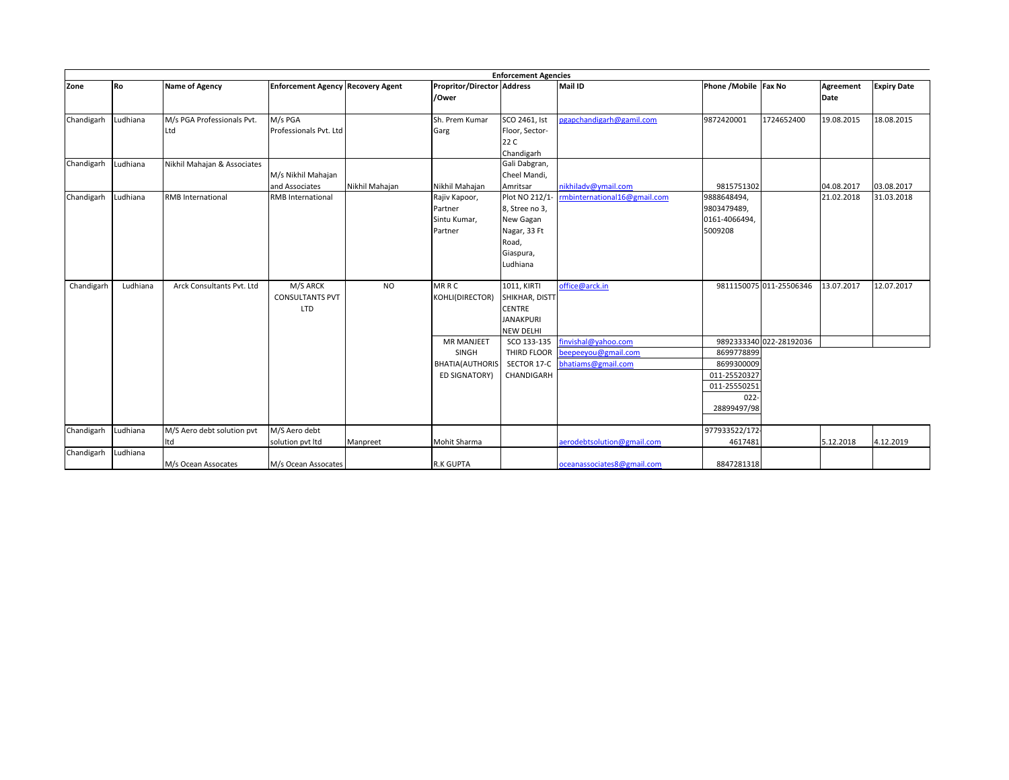| <b>Enforcement Agencies</b> |          |                             |                                          |                |                                   |                           |                              |                            |                         |            |                    |
|-----------------------------|----------|-----------------------------|------------------------------------------|----------------|-----------------------------------|---------------------------|------------------------------|----------------------------|-------------------------|------------|--------------------|
| Zone                        | Ro       | <b>Name of Agency</b>       | <b>Enforcement Agency Recovery Agent</b> |                | <b>Propritor/Director Address</b> |                           | <b>Mail ID</b>               | Phone / Mobile Fax No      |                         | Agreement  | <b>Expiry Date</b> |
|                             |          |                             |                                          |                | /Ower                             |                           |                              |                            |                         | Date       |                    |
|                             |          |                             |                                          |                |                                   |                           |                              |                            |                         |            |                    |
| Chandigarh                  | Ludhiana | M/s PGA Professionals Pvt.  | M/s PGA                                  |                | Sh. Prem Kumar                    | SCO 2461, Ist             | pgapchandigarh@gamil.com     | 9872420001                 | 1724652400              | 19.08.2015 | 18.08.2015         |
|                             |          | Ltd                         | Professionals Pvt. Ltd                   |                | Garg                              | Floor, Sector-            |                              |                            |                         |            |                    |
|                             |          |                             |                                          |                |                                   | 22 C                      |                              |                            |                         |            |                    |
|                             |          |                             |                                          |                |                                   | Chandigarh                |                              |                            |                         |            |                    |
| Chandigarh Ludhiana         |          | Nikhil Mahajan & Associates |                                          |                |                                   | Gali Dabgran,             |                              |                            |                         |            |                    |
|                             |          |                             | M/s Nikhil Mahajan                       |                |                                   | Cheel Mandi,              |                              |                            |                         |            |                    |
|                             |          |                             | and Associates                           | Nikhil Mahajan | Nikhil Mahajan                    | Amritsar                  | nikhiladv@ymail.com          | 9815751302                 |                         | 04.08.2017 | 03.08.2017         |
| Chandigarh                  | Ludhiana | <b>RMB</b> International    | RMB International                        |                | Rajiv Kapoor,                     | Plot NO 212/1-            | rmbinternational16@gmail.com | 9888648494,                |                         | 21.02.2018 | 31.03.2018         |
|                             |          |                             |                                          |                | Partner                           | 8, Stree no 3,            |                              | 9803479489,                |                         |            |                    |
|                             |          |                             |                                          |                | Sintu Kumar,                      | New Gagan                 |                              | 0161-4066494,              |                         |            |                    |
|                             |          |                             |                                          |                | Partner                           | Nagar, 33 Ft              |                              | 5009208                    |                         |            |                    |
|                             |          |                             |                                          |                |                                   | Road,                     |                              |                            |                         |            |                    |
|                             |          |                             |                                          |                |                                   | Giaspura,                 |                              |                            |                         |            |                    |
|                             |          |                             |                                          |                |                                   | Ludhiana                  |                              |                            |                         |            |                    |
|                             |          |                             |                                          |                |                                   |                           |                              |                            |                         |            |                    |
| Chandigarh                  | Ludhiana | Arck Consultants Pvt. Ltd   | M/S ARCK                                 | <b>NO</b>      | <b>MRRC</b>                       | 1011, KIRTI               | office@arck.in               |                            | 9811150075 011-25506346 | 13.07.2017 | 12.07.2017         |
|                             |          |                             | <b>CONSULTANTS PVT</b>                   |                | KOHLI(DIRECTOR)                   | SHIKHAR, DISTT            |                              |                            |                         |            |                    |
|                             |          |                             | <b>LTD</b>                               |                |                                   | <b>CENTRE</b>             |                              |                            |                         |            |                    |
|                             |          |                             |                                          |                |                                   | <b>JANAKPURI</b>          |                              |                            |                         |            |                    |
|                             |          |                             |                                          |                |                                   | <b>NEW DELHI</b>          |                              |                            |                         |            |                    |
|                             |          |                             |                                          |                | <b>MR MANJEET</b>                 | SCO 133-135               | finvishal@yahoo.com          |                            | 9892333340 022-28192036 |            |                    |
|                             |          |                             |                                          |                | SINGH                             | THIRD FLOOR               | beepeeyou@gmail.com          | 8699778899                 |                         |            |                    |
|                             |          |                             |                                          |                | <b>BHATIA(AUTHORIS</b>            | SECTOR 17-C<br>CHANDIGARH | bhatiams@gmail.com           | 8699300009<br>011-25520327 |                         |            |                    |
|                             |          |                             |                                          |                | <b>ED SIGNATORY)</b>              |                           |                              |                            |                         |            |                    |
|                             |          |                             |                                          |                |                                   |                           |                              | 011-25550251<br>$022 -$    |                         |            |                    |
|                             |          |                             |                                          |                |                                   |                           |                              |                            |                         |            |                    |
|                             |          |                             |                                          |                |                                   |                           |                              | 28899497/98                |                         |            |                    |
| Chandigarh                  | Ludhiana | M/S Aero debt solution pvt  | M/S Aero debt                            |                |                                   |                           |                              | 977933522/172              |                         |            |                    |
|                             |          | Itd                         | solution pvt ltd                         | Manpreet       | Mohit Sharma                      |                           | aerodebtsolution@gmail.com   | 4617481                    |                         | 5.12.2018  | 4.12.2019          |
| Chandigarh                  | Ludhiana |                             |                                          |                |                                   |                           |                              |                            |                         |            |                    |
|                             |          | M/s Ocean Assocates         | M/s Ocean Assocates                      |                | <b>R.K GUPTA</b>                  |                           | oceanassociates8@gmail.com   | 8847281318                 |                         |            |                    |